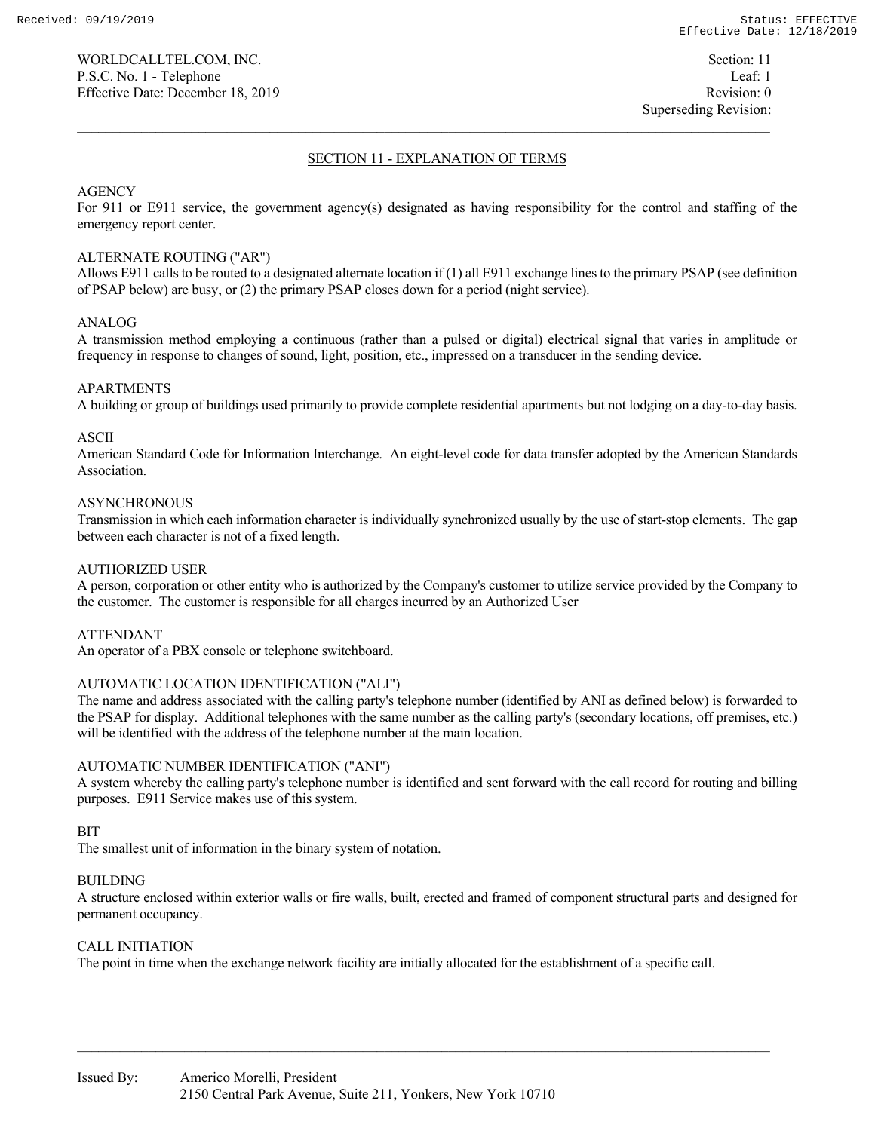# SECTION 11 - EXPLANATION OF TERMS

# AGENCY

For 911 or E911 service, the government agency(s) designated as having responsibility for the control and staffing of the emergency report center.

# ALTERNATE ROUTING ("AR")

Allows E911 calls to be routed to a designated alternate location if (1) all E911 exchange lines to the primary PSAP (see definition of PSAP below) are busy, or (2) the primary PSAP closes down for a period (night service).

# ANALOG

A transmission method employing a continuous (rather than a pulsed or digital) electrical signal that varies in amplitude or frequency in response to changes of sound, light, position, etc., impressed on a transducer in the sending device.

# APARTMENTS

A building or group of buildings used primarily to provide complete residential apartments but not lodging on a day-to-day basis.

# ASCII

American Standard Code for Information Interchange. An eight-level code for data transfer adopted by the American Standards Association.

# **ASYNCHRONOUS**

Transmission in which each information character is individually synchronized usually by the use of start-stop elements. The gap between each character is not of a fixed length.

# AUTHORIZED USER

A person, corporation or other entity who is authorized by the Company's customer to utilize service provided by the Company to the customer. The customer is responsible for all charges incurred by an Authorized User

# ATTENDANT

An operator of a PBX console or telephone switchboard.

# AUTOMATIC LOCATION IDENTIFICATION ("ALI")

The name and address associated with the calling party's telephone number (identified by ANI as defined below) is forwarded to the PSAP for display. Additional telephones with the same number as the calling party's (secondary locations, off premises, etc.) will be identified with the address of the telephone number at the main location.

# AUTOMATIC NUMBER IDENTIFICATION ("ANI")

A system whereby the calling party's telephone number is identified and sent forward with the call record for routing and billing purposes. E911 Service makes use of this system.

# BIT

The smallest unit of information in the binary system of notation.

# BUILDING

A structure enclosed within exterior walls or fire walls, built, erected and framed of component structural parts and designed for permanent occupancy.

# CALL INITIATION

The point in time when the exchange network facility are initially allocated for the establishment of a specific call.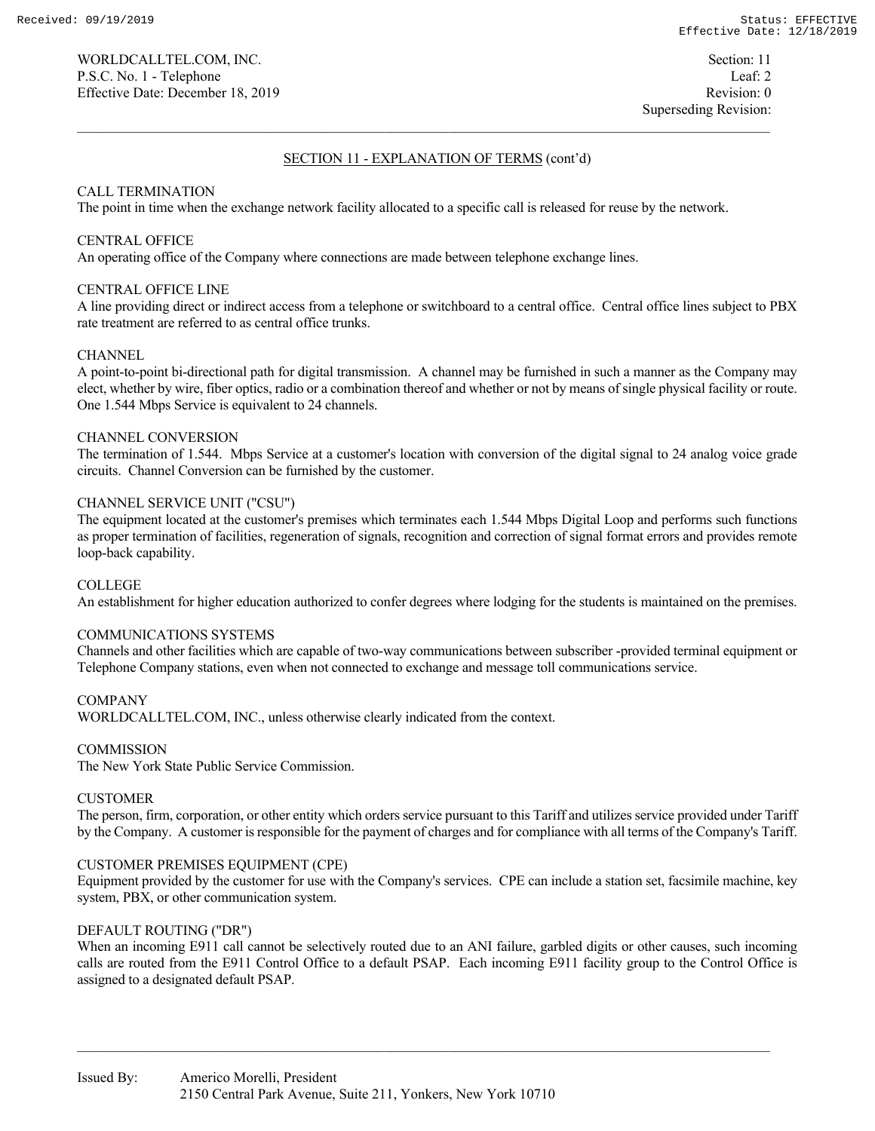# CALL TERMINATION

The point in time when the exchange network facility allocated to a specific call is released for reuse by the network.

# CENTRAL OFFICE

An operating office of the Company where connections are made between telephone exchange lines.

# CENTRAL OFFICE LINE

A line providing direct or indirect access from a telephone or switchboard to a central office. Central office lines subject to PBX rate treatment are referred to as central office trunks.

# **CHANNEL**

A point-to-point bi-directional path for digital transmission. A channel may be furnished in such a manner as the Company may elect, whether by wire, fiber optics, radio or a combination thereof and whether or not by means of single physical facility or route. One 1.544 Mbps Service is equivalent to 24 channels.

# CHANNEL CONVERSION

The termination of 1.544. Mbps Service at a customer's location with conversion of the digital signal to 24 analog voice grade circuits. Channel Conversion can be furnished by the customer.

# CHANNEL SERVICE UNIT ("CSU")

The equipment located at the customer's premises which terminates each 1.544 Mbps Digital Loop and performs such functions as proper termination of facilities, regeneration of signals, recognition and correction of signal format errors and provides remote loop-back capability.

# COLLEGE

An establishment for higher education authorized to confer degrees where lodging for the students is maintained on the premises.

# COMMUNICATIONS SYSTEMS

Channels and other facilities which are capable of two-way communications between subscriber -provided terminal equipment or Telephone Company stations, even when not connected to exchange and message toll communications service.

# **COMPANY**

WORLDCALLTEL.COM, INC., unless otherwise clearly indicated from the context.

# **COMMISSION**

The New York State Public Service Commission.

# **CUSTOMER**

The person, firm, corporation, or other entity which orders service pursuant to this Tariff and utilizes service provided under Tariff by the Company. A customer is responsible for the payment of charges and for compliance with all terms of the Company's Tariff.

# CUSTOMER PREMISES EQUIPMENT (CPE)

Equipment provided by the customer for use with the Company's services. CPE can include a station set, facsimile machine, key system, PBX, or other communication system.

# DEFAULT ROUTING ("DR")

When an incoming E911 call cannot be selectively routed due to an ANI failure, garbled digits or other causes, such incoming calls are routed from the E911 Control Office to a default PSAP. Each incoming E911 facility group to the Control Office is assigned to a designated default PSAP.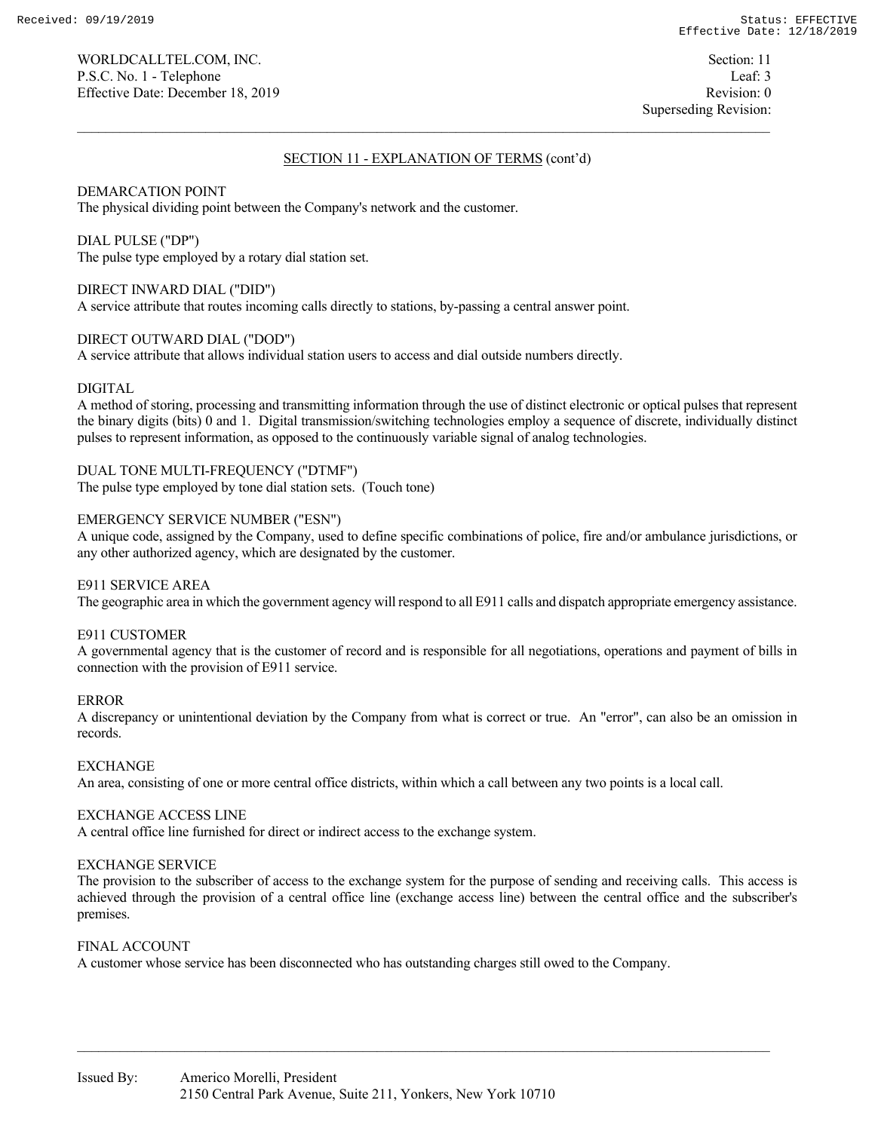WORLDCALLTEL.COM, INC. Section: 11 P.S.C. No. 1 - Telephone Leaf: 3 Effective Date: December 18, 2019 Revision: 0

Superseding Revision:

# SECTION 11 - EXPLANATION OF TERMS (cont'd)

# DEMARCATION POINT

The physical dividing point between the Company's network and the customer.

### DIAL PULSE ("DP")

The pulse type employed by a rotary dial station set.

# DIRECT INWARD DIAL ("DID")

A service attribute that routes incoming calls directly to stations, by-passing a central answer point.

# DIRECT OUTWARD DIAL ("DOD")

A service attribute that allows individual station users to access and dial outside numbers directly.

# DIGITAL

A method of storing, processing and transmitting information through the use of distinct electronic or optical pulses that represent the binary digits (bits) 0 and 1. Digital transmission/switching technologies employ a sequence of discrete, individually distinct pulses to represent information, as opposed to the continuously variable signal of analog technologies.

DUAL TONE MULTI-FREQUENCY ("DTMF") The pulse type employed by tone dial station sets. (Touch tone)

# EMERGENCY SERVICE NUMBER ("ESN")

A unique code, assigned by the Company, used to define specific combinations of police, fire and/or ambulance jurisdictions, or any other authorized agency, which are designated by the customer.

# E911 SERVICE AREA

The geographic area in which the government agency will respond to all E911 calls and dispatch appropriate emergency assistance.

# E911 CUSTOMER

A governmental agency that is the customer of record and is responsible for all negotiations, operations and payment of bills in connection with the provision of E911 service.

# ERROR

A discrepancy or unintentional deviation by the Company from what is correct or true. An "error", can also be an omission in records.

# EXCHANGE

An area, consisting of one or more central office districts, within which a call between any two points is a local call.

# EXCHANGE ACCESS LINE

A central office line furnished for direct or indirect access to the exchange system.

# EXCHANGE SERVICE

The provision to the subscriber of access to the exchange system for the purpose of sending and receiving calls. This access is achieved through the provision of a central office line (exchange access line) between the central office and the subscriber's premises.

# FINAL ACCOUNT

A customer whose service has been disconnected who has outstanding charges still owed to the Company.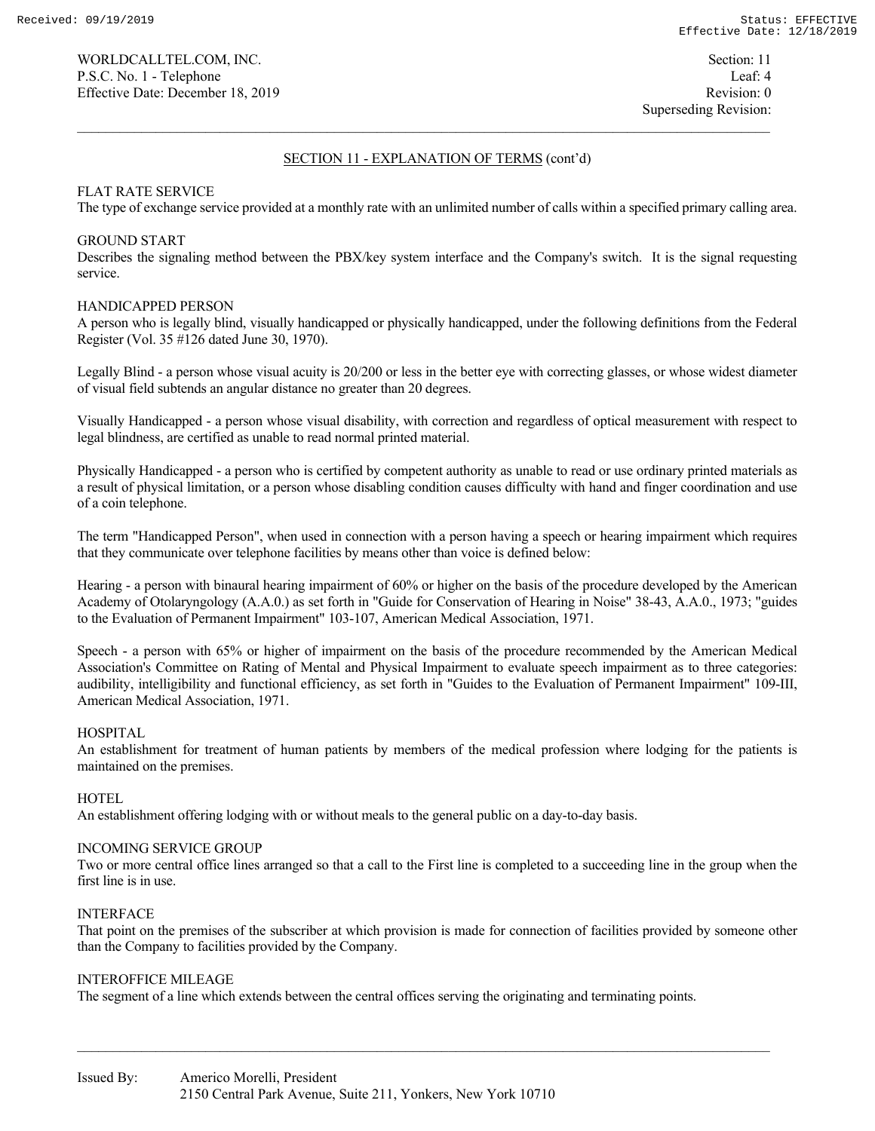# FLAT RATE SERVICE

The type of exchange service provided at a monthly rate with an unlimited number of calls within a specified primary calling area.

# GROUND START

Describes the signaling method between the PBX/key system interface and the Company's switch. It is the signal requesting service.

# HANDICAPPED PERSON

A person who is legally blind, visually handicapped or physically handicapped, under the following definitions from the Federal Register (Vol. 35 #126 dated June 30, 1970).

Legally Blind - a person whose visual acuity is 20/200 or less in the better eye with correcting glasses, or whose widest diameter of visual field subtends an angular distance no greater than 20 degrees.

Visually Handicapped - a person whose visual disability, with correction and regardless of optical measurement with respect to legal blindness, are certified as unable to read normal printed material.

Physically Handicapped - a person who is certified by competent authority as unable to read or use ordinary printed materials as a result of physical limitation, or a person whose disabling condition causes difficulty with hand and finger coordination and use of a coin telephone.

The term "Handicapped Person", when used in connection with a person having a speech or hearing impairment which requires that they communicate over telephone facilities by means other than voice is defined below:

Hearing - a person with binaural hearing impairment of 60% or higher on the basis of the procedure developed by the American Academy of Otolaryngology (A.A.0.) as set forth in "Guide for Conservation of Hearing in Noise" 38-43, A.A.0., 1973; "guides to the Evaluation of Permanent Impairment" 103-107, American Medical Association, 1971.

Speech - a person with 65% or higher of impairment on the basis of the procedure recommended by the American Medical Association's Committee on Rating of Mental and Physical Impairment to evaluate speech impairment as to three categories: audibility, intelligibility and functional efficiency, as set forth in "Guides to the Evaluation of Permanent Impairment" 109-III, American Medical Association, 1971.

# HOSPITAL

An establishment for treatment of human patients by members of the medical profession where lodging for the patients is maintained on the premises.

# **HOTEL**

An establishment offering lodging with or without meals to the general public on a day-to-day basis.

# INCOMING SERVICE GROUP

Two or more central office lines arranged so that a call to the First line is completed to a succeeding line in the group when the first line is in use.

# INTERFACE

That point on the premises of the subscriber at which provision is made for connection of facilities provided by someone other than the Company to facilities provided by the Company.

# INTEROFFICE MILEAGE

The segment of a line which extends between the central offices serving the originating and terminating points.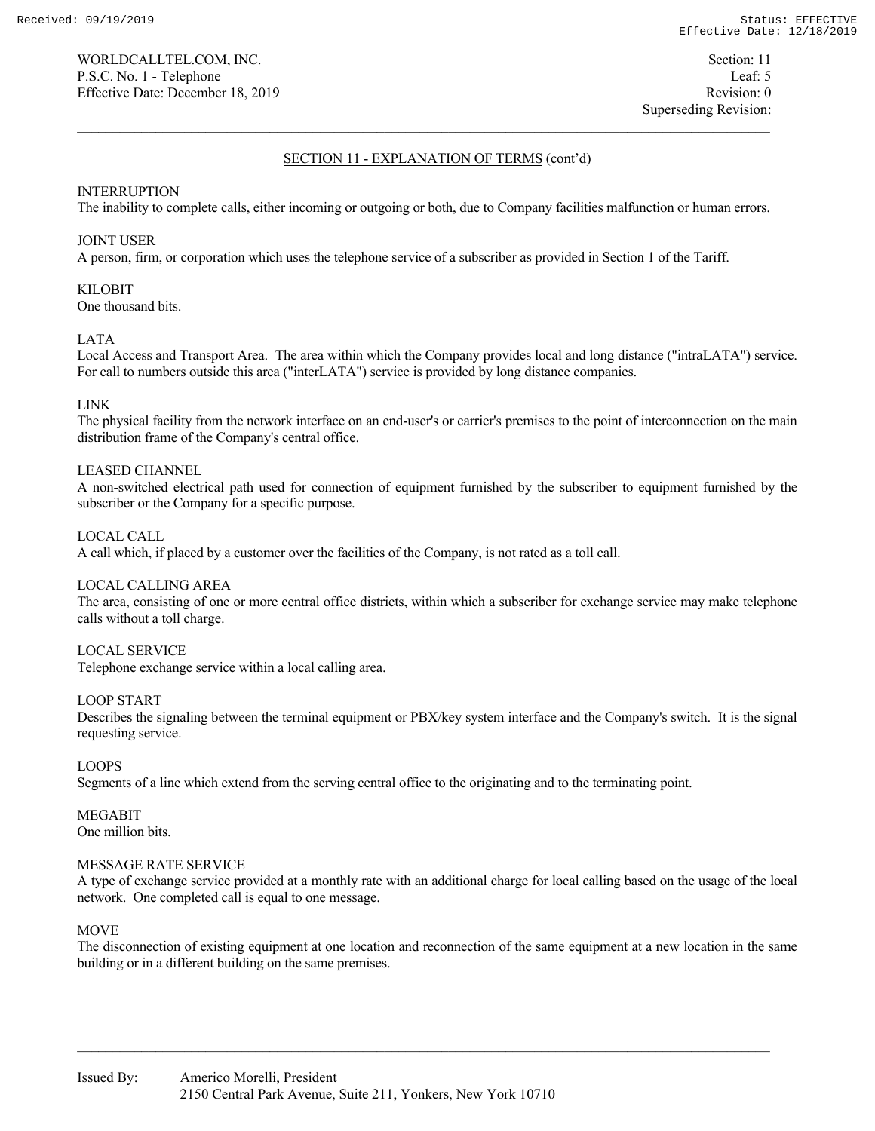# INTERRUPTION

The inability to complete calls, either incoming or outgoing or both, due to Company facilities malfunction or human errors.

# JOINT USER

A person, firm, or corporation which uses the telephone service of a subscriber as provided in Section 1 of the Tariff.

# KILOBIT

One thousand bits.

# LATA

Local Access and Transport Area. The area within which the Company provides local and long distance ("intraLATA") service. For call to numbers outside this area ("interLATA") service is provided by long distance companies.

# LINK

The physical facility from the network interface on an end-user's or carrier's premises to the point of interconnection on the main distribution frame of the Company's central office.

# LEASED CHANNEL

A non-switched electrical path used for connection of equipment furnished by the subscriber to equipment furnished by the subscriber or the Company for a specific purpose.

# LOCAL CALL

A call which, if placed by a customer over the facilities of the Company, is not rated as a toll call.

# LOCAL CALLING AREA

The area, consisting of one or more central office districts, within which a subscriber for exchange service may make telephone calls without a toll charge.

# LOCAL SERVICE

Telephone exchange service within a local calling area.

# LOOP START

Describes the signaling between the terminal equipment or PBX/key system interface and the Company's switch. It is the signal requesting service.

# LOOPS

Segments of a line which extend from the serving central office to the originating and to the terminating point.

MEGABIT One million bits.

# MESSAGE RATE SERVICE

A type of exchange service provided at a monthly rate with an additional charge for local calling based on the usage of the local network. One completed call is equal to one message.

# MOVE

The disconnection of existing equipment at one location and reconnection of the same equipment at a new location in the same building or in a different building on the same premises.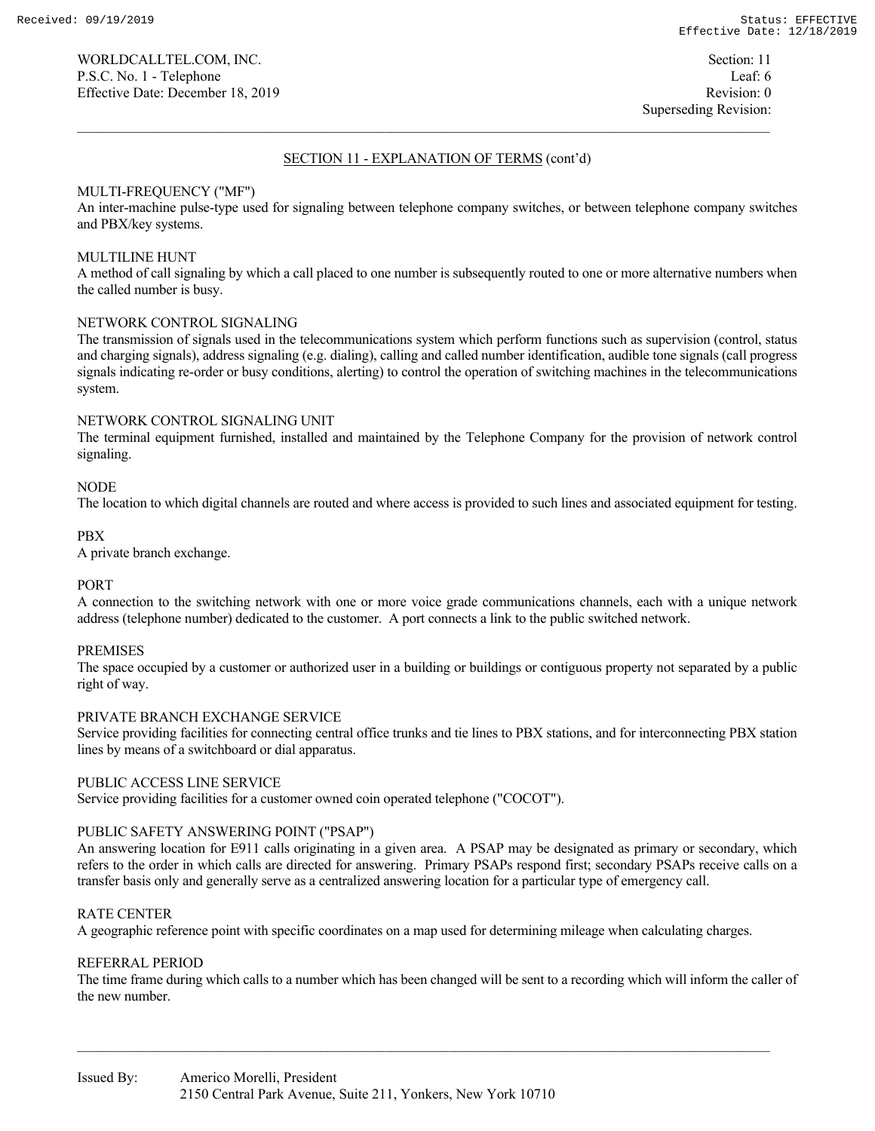# MULTI-FREQUENCY ("MF")

An inter-machine pulse-type used for signaling between telephone company switches, or between telephone company switches and PBX/key systems.

# MULTILINE HUNT

A method of call signaling by which a call placed to one number is subsequently routed to one or more alternative numbers when the called number is busy.

# NETWORK CONTROL SIGNALING

The transmission of signals used in the telecommunications system which perform functions such as supervision (control, status and charging signals), address signaling (e.g. dialing), calling and called number identification, audible tone signals (call progress signals indicating re-order or busy conditions, alerting) to control the operation of switching machines in the telecommunications system.

# NETWORK CONTROL SIGNALING UNIT

The terminal equipment furnished, installed and maintained by the Telephone Company for the provision of network control signaling.

# NODE

The location to which digital channels are routed and where access is provided to such lines and associated equipment for testing.

# PBX

A private branch exchange.

# PORT

A connection to the switching network with one or more voice grade communications channels, each with a unique network address (telephone number) dedicated to the customer. A port connects a link to the public switched network.

# PREMISES

The space occupied by a customer or authorized user in a building or buildings or contiguous property not separated by a public right of way.

# PRIVATE BRANCH EXCHANGE SERVICE

Service providing facilities for connecting central office trunks and tie lines to PBX stations, and for interconnecting PBX station lines by means of a switchboard or dial apparatus.

# PUBLIC ACCESS LINE SERVICE

Service providing facilities for a customer owned coin operated telephone ("COCOT").

# PUBLIC SAFETY ANSWERING POINT ("PSAP")

An answering location for E911 calls originating in a given area. A PSAP may be designated as primary or secondary, which refers to the order in which calls are directed for answering. Primary PSAPs respond first; secondary PSAPs receive calls on a transfer basis only and generally serve as a centralized answering location for a particular type of emergency call.

# RATE CENTER

A geographic reference point with specific coordinates on a map used for determining mileage when calculating charges.

# REFERRAL PERIOD

The time frame during which calls to a number which has been changed will be sent to a recording which will inform the caller of the new number.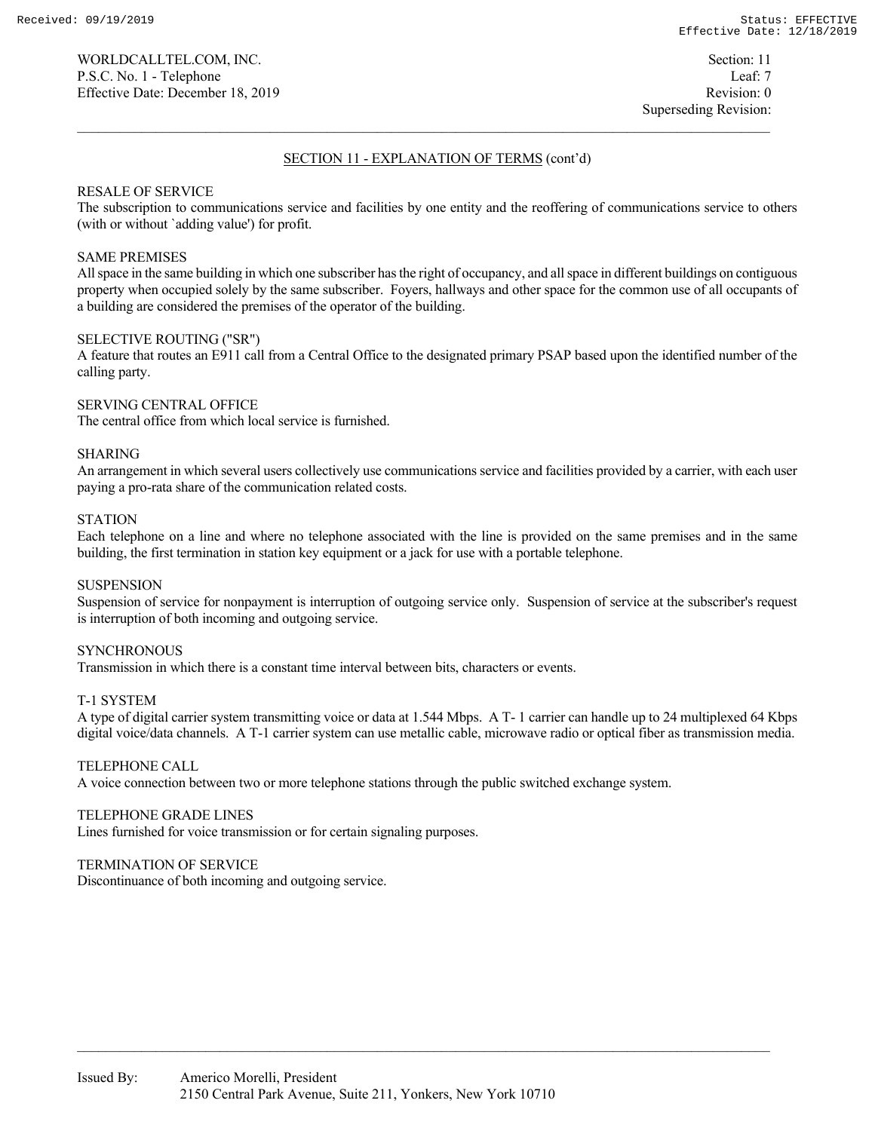# Superseding Revision:

# SECTION 11 - EXPLANATION OF TERMS (cont'd)

# RESALE OF SERVICE

The subscription to communications service and facilities by one entity and the reoffering of communications service to others (with or without `adding value') for profit.

# SAME PREMISES

All space in the same building in which one subscriber has the right of occupancy, and all space in different buildings on contiguous property when occupied solely by the same subscriber. Foyers, hallways and other space for the common use of all occupants of a building are considered the premises of the operator of the building.

# SELECTIVE ROUTING ("SR")

A feature that routes an E911 call from a Central Office to the designated primary PSAP based upon the identified number of the calling party.

# SERVING CENTRAL OFFICE The central office from which local service is furnished.

# SHARING

An arrangement in which several users collectively use communications service and facilities provided by a carrier, with each user paying a pro-rata share of the communication related costs.

# **STATION**

Each telephone on a line and where no telephone associated with the line is provided on the same premises and in the same building, the first termination in station key equipment or a jack for use with a portable telephone.

# **SUSPENSION**

Suspension of service for nonpayment is interruption of outgoing service only. Suspension of service at the subscriber's request is interruption of both incoming and outgoing service.

# **SYNCHRONOUS**

Transmission in which there is a constant time interval between bits, characters or events.

# T-1 SYSTEM

A type of digital carrier system transmitting voice or data at 1.544 Mbps. A T- 1 carrier can handle up to 24 multiplexed 64 Kbps digital voice/data channels. A T-1 carrier system can use metallic cable, microwave radio or optical fiber as transmission media.

# TELEPHONE CALL

A voice connection between two or more telephone stations through the public switched exchange system.

# TELEPHONE GRADE LINES

Lines furnished for voice transmission or for certain signaling purposes.

# TERMINATION OF SERVICE

Discontinuance of both incoming and outgoing service.